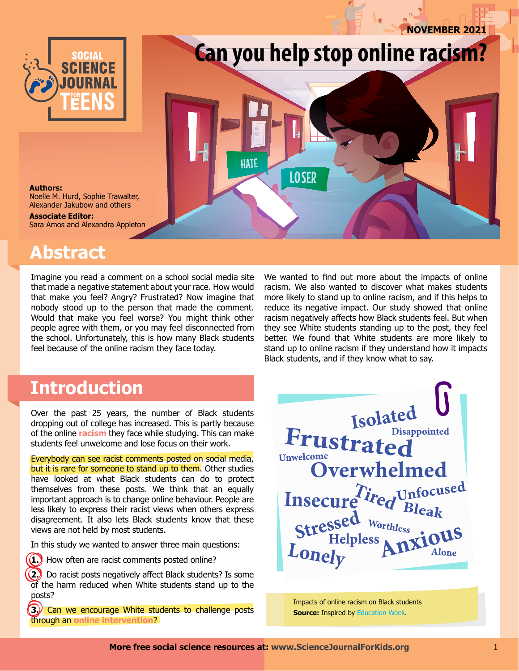**november 2021**



# **Can you help stop online racism?**

**Authors:** Noelle M. Hurd, Sophie Trawalter, Alexander Jakubow and others

**Associate Editor:** Sara Amos and Alexandra Appleton

## **Abstract**

Imagine you read a comment on a school social media site that made a negative statement about your race. How would that make you feel? Angry? Frustrated? Now imagine that nobody stood up to the person that made the comment. Would that make you feel worse? You might think other people agree with them, or you may feel disconnected from the school. Unfortunately, this is how many Black students feel because of the online racism they face today.

We wanted to find out more about the impacts of online racism. We also wanted to discover what makes students more likely to stand up to online racism, and if this helps to reduce its negative impact. Our study showed that online racism negatively affects how Black students feel. But when they see White students standing up to the post, they feel better. We found that White students are more likely to stand up to online racism if they understand how it impacts Black students, and if they know what to say.

### **Introduction**

Over the past 25 years, the number of Black students dropping out of college has increased. This is partly because of the online **racism** they face while studying. This can make students feel unwelcome and lose focus on their work.

Everybody can see racist comments posted on social media, but it is rare for someone to stand up to them. Other studies have looked at what Black students can do to protect themselves from these posts. We think that an equally important approach is to change online behaviour. People are less likely to express their racist views when others express disagreement. It also lets Black students know that these views are not held by most students.

In this study we wanted to answer three main questions:



**1.** How often are racist comments posted online?

**2.** Do racist posts negatively affect Black students? Is some of the harm reduced when White students stand up to the posts?

**3.** Can we encourage White students to challenge posts through an **online intervention**?



Impacts of online racism on Black students **Source: Inspired by [Education Week.](https://www.edweek.org/leadership/mental-health-problems-loom-for-the-covid-generation-heres-what-schools-can-do/2021/05)** 

**HATE** 

**LOSER**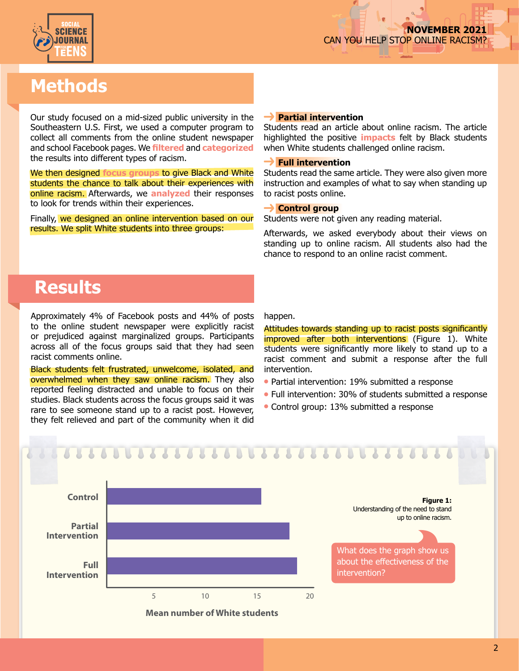

# **Methods**

Our study focused on a mid-sized public university in the Southeastern U.S. First, we used a computer program to collect all comments from the online student newspaper and school Facebook pages. We **filtered** and **categorized** the results into different types of racism.

We then designed **focus groups** to give Black and White students the chance to talk about their experiences with online racism. Afterwards, we **analyzed** their responses to look for trends within their experiences.

Finally, we designed an online intervention based on our results. We split White students into three groups:

#### **Partial intervention**

Students read an article about online racism. The article highlighted the positive **impacts** felt by Black students when White students challenged online racism.

#### **Full intervention**

Students read the same article. They were also given more instruction and examples of what to say when standing up to racist posts online.

#### **→ Control group**

Students were not given any reading material.

Afterwards, we asked everybody about their views on standing up to online racism. All students also had the chance to respond to an online racist comment.

### **Results**

Approximately 4% of Facebook posts and 44% of posts to the online student newspaper were explicitly racist or prejudiced against marginalized groups. Participants across all of the focus groups said that they had seen racist comments online.

Black students felt frustrated, unwelcome, isolated, and overwhelmed when they saw online racism. They also reported feeling distracted and unable to focus on their studies. Black students across the focus groups said it was rare to see someone stand up to a racist post. However, they felt relieved and part of the community when it did

happen.

Attitudes towards standing up to racist posts significantly improved after both interventions (Figure 1). White students were significantly more likely to stand up to a racist comment and submit a response after the full intervention.

- Partial intervention: 19% submitted a response
- Full intervention: 30% of students submitted a response
- Control group: 13% submitted a response

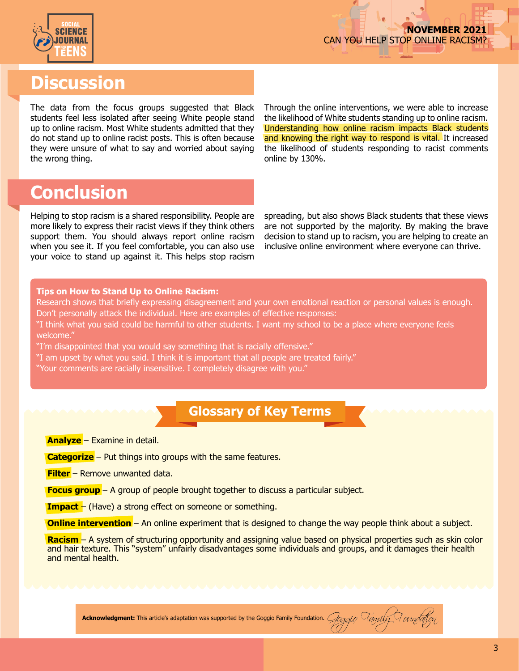

### **Discussion**

The data from the focus groups suggested that Black students feel less isolated after seeing White people stand up to online racism. Most White students admitted that they do not stand up to online racist posts. This is often because they were unsure of what to say and worried about saying the wrong thing.

Through the online interventions, we were able to increase the likelihood of White students standing up to online racism. Understanding how online racism impacts Black students and knowing the right way to respond is vital. It increased the likelihood of students responding to racist comments online by 130%.

### **Conclusion**

Helping to stop racism is a shared responsibility. People are more likely to express their racist views if they think others support them. You should always report online racism when you see it. If you feel comfortable, you can also use your voice to stand up against it. This helps stop racism

spreading, but also shows Black students that these views are not supported by the majority. By making the brave decision to stand up to racism, you are helping to create an inclusive online environment where everyone can thrive.

#### **Tips on How to Stand Up to Online Racism:**

Research shows that briefly expressing disagreement and your own emotional reaction or personal values is enough. Don't personally attack the individual. Here are examples of effective responses:

"I think what you said could be harmful to other students. I want my school to be a place where everyone feels welcome."

"I'm disappointed that you would say something that is racially offensive."

"I am upset by what you said. I think it is important that all people are treated fairly."

"Your comments are racially insensitive. I completely disagree with you."

#### **Glossary of Key Terms**

**Analyze** – Examine in detail.

**Categorize** – Put things into groups with the same features.

**Filter** – Remove unwanted data.

**Focus group** – A group of people brought together to discuss a particular subject.

**Impact** – (Have) a strong effect on someone or something.

**Online intervention** – An online experiment that is designed to change the way people think about a subject.

**Racism** – A system of structuring opportunity and assigning value based on physical properties such as skin color and hair texture. This "system" unfairly disadvantages some individuals and groups, and it damages their health and mental health.

Acknowledgment: This article's adaptation was supported by the Goggio Family Foundation. *Goggio Family Foundation*